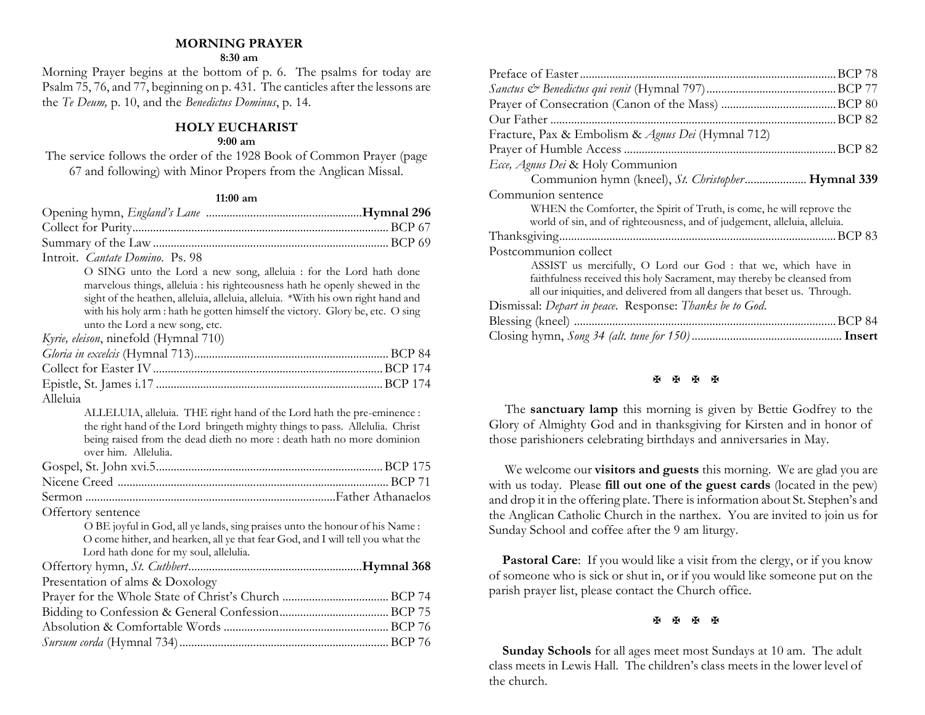#### **MORNING PRAYER**

#### **8:30 am**

Morning Prayer begins at the bottom of p. 6. The psalms for today are Psalm 75, 76, and 77, beginning on p. 431. The canticles after the lessons are the *Te Deum,* p. 10, and the *Benedictus Dominus*, p. 14.

#### **HOLY EUCHARIST**

#### **9:00 am**

The service follows the order of the 1928 Book of Common Prayer (page 67 and following) with Minor Propers from the Anglican Missal.

#### **11:00 am**

| Introit. <i>Cantate Domino</i> . Ps. 98                                                                                                                                                                                                                                                                                                                  |  |
|----------------------------------------------------------------------------------------------------------------------------------------------------------------------------------------------------------------------------------------------------------------------------------------------------------------------------------------------------------|--|
| O SING unto the Lord a new song, alleluia : for the Lord hath done<br>marvelous things, alleluia : his righteousness hath he openly shewed in the<br>sight of the heathen, alleluia, alleluia, alleluia. *With his own right hand and<br>with his holy arm : hath he gotten himself the victory. Glory be, etc. O sing<br>unto the Lord a new song, etc. |  |
| Kyrie, eleison, ninefold (Hymnal 710)                                                                                                                                                                                                                                                                                                                    |  |
|                                                                                                                                                                                                                                                                                                                                                          |  |
|                                                                                                                                                                                                                                                                                                                                                          |  |
|                                                                                                                                                                                                                                                                                                                                                          |  |
| Alleluia                                                                                                                                                                                                                                                                                                                                                 |  |
| ALLELUIA, alleluia. THE right hand of the Lord hath the pre-eminence :<br>the right hand of the Lord bringeth mighty things to pass. Allelulia. Christ<br>being raised from the dead dieth no more : death hath no more dominion<br>over him. Allelulia.                                                                                                 |  |
|                                                                                                                                                                                                                                                                                                                                                          |  |
|                                                                                                                                                                                                                                                                                                                                                          |  |
|                                                                                                                                                                                                                                                                                                                                                          |  |
| Offertory sentence                                                                                                                                                                                                                                                                                                                                       |  |
| O BE joyful in God, all ye lands, sing praises unto the honour of his Name:<br>O come hither, and hearken, all ye that fear God, and I will tell you what the<br>Lord hath done for my soul, allelulia.                                                                                                                                                  |  |
|                                                                                                                                                                                                                                                                                                                                                          |  |
| Presentation of alms & Doxology                                                                                                                                                                                                                                                                                                                          |  |
|                                                                                                                                                                                                                                                                                                                                                          |  |
|                                                                                                                                                                                                                                                                                                                                                          |  |
|                                                                                                                                                                                                                                                                                                                                                          |  |
|                                                                                                                                                                                                                                                                                                                                                          |  |

| Fracture, Pax & Embolism & Agnus Dei (Hymnal 712)                          |
|----------------------------------------------------------------------------|
|                                                                            |
| Ecce, Agnus Dei & Holy Communion                                           |
| Communion hymn (kneel), St. Christopher Hymnal 339                         |
| Communion sentence                                                         |
| WHEN the Comforter, the Spirit of Truth, is come, he will reprove the      |
| world of sin, and of righteousness, and of judgement, alleluia, alleluia.  |
|                                                                            |
| Postcommunion collect                                                      |
| ASSIST us mercifully, O Lord our God : that we, which have in              |
| faithfulness received this holy Sacrament, may thereby be cleansed from    |
| all our iniquities, and delivered from all dangers that beset us. Through. |
| Dismissal: Depart in peace. Response: Thanks be to God.                    |
|                                                                            |
|                                                                            |

#### **H H H H**

 The **sanctuary lamp** this morning is given by Bettie Godfrey to the Glory of Almighty God and in thanksgiving for Kirsten and in honor of those parishioners celebrating birthdays and anniversaries in May.

We welcome our **visitors and guests** this morning. We are glad you are with us today. Please **fill out one of the guest cards** (located in the pew) and drop it in the offering plate. There is information about St. Stephen's and the Anglican Catholic Church in the narthex. You are invited to join us for Sunday School and coffee after the 9 am liturgy.

Pastoral Care: If you would like a visit from the clergy, or if you know of someone who is sick or shut in, or if you would like someone put on the parish prayer list, please contact the Church office.

**H H H H** 

 **Sunday Schools** for all ages meet most Sundays at 10 am. The adult class meets in Lewis Hall. The children's class meets in the lower level of the church.